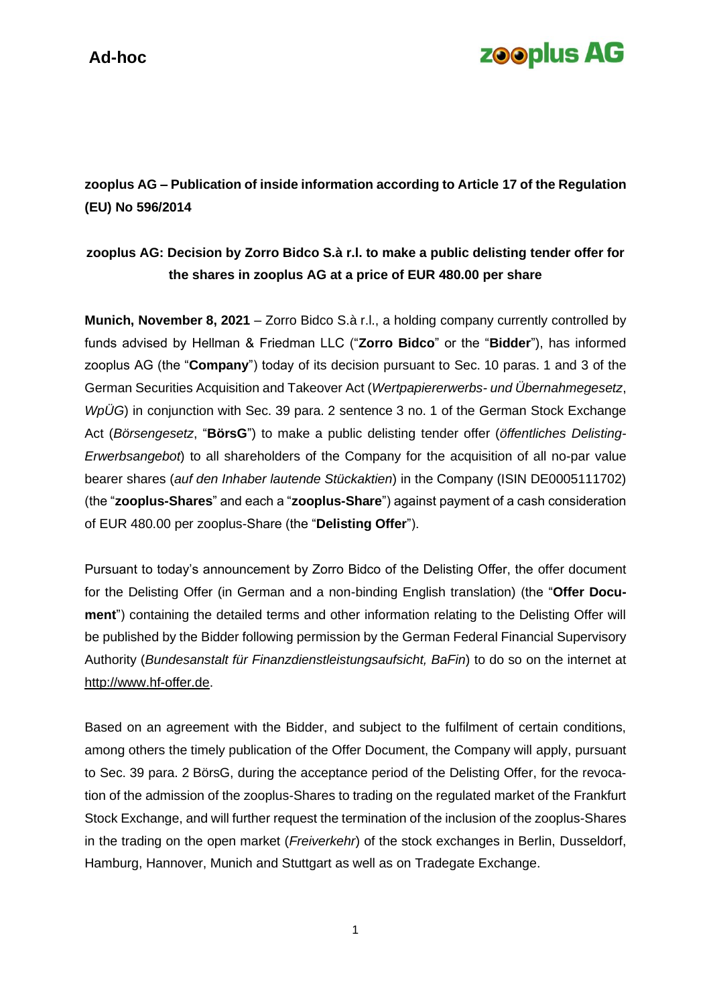

**zooplus AG – Publication of inside information according to Article 17 of the Regulation (EU) No 596/2014**

## **zooplus AG: Decision by Zorro Bidco S.à r.l. to make a public delisting tender offer for the shares in zooplus AG at a price of EUR 480.00 per share**

**Munich, November 8, 2021** – Zorro Bidco S.à r.l., a holding company currently controlled by funds advised by Hellman & Friedman LLC ("**Zorro Bidco**" or the "**Bidder**"), has informed zooplus AG (the "**Company**") today of its decision pursuant to Sec. 10 paras. 1 and 3 of the German Securities Acquisition and Takeover Act (*Wertpapiererwerbs- und Übernahmegesetz*, *WpÜG*) in conjunction with Sec. 39 para. 2 sentence 3 no. 1 of the German Stock Exchange Act (*Börsengesetz*, "**BörsG**") to make a public delisting tender offer (*öffentliches Delisting-Erwerbsangebot*) to all shareholders of the Company for the acquisition of all no-par value bearer shares (*auf den Inhaber lautende Stückaktien*) in the Company (ISIN DE0005111702) (the "**zooplus-Shares**" and each a "**zooplus-Share**") against payment of a cash consideration of EUR 480.00 per zooplus-Share (the "**Delisting Offer**").

Pursuant to today's announcement by Zorro Bidco of the Delisting Offer, the offer document for the Delisting Offer (in German and a non-binding English translation) (the "**Offer Document**") containing the detailed terms and other information relating to the Delisting Offer will be published by the Bidder following permission by the German Federal Financial Supervisory Authority (*Bundesanstalt für Finanzdienstleistungsaufsicht, BaFin*) to do so on the internet at http://www.hf-offer.de.

Based on an agreement with the Bidder, and subject to the fulfilment of certain conditions, among others the timely publication of the Offer Document, the Company will apply, pursuant to Sec. 39 para. 2 BörsG, during the acceptance period of the Delisting Offer, for the revocation of the admission of the zooplus-Shares to trading on the regulated market of the Frankfurt Stock Exchange, and will further request the termination of the inclusion of the zooplus-Shares in the trading on the open market (*Freiverkehr*) of the stock exchanges in Berlin, Dusseldorf, Hamburg, Hannover, Munich and Stuttgart as well as on Tradegate Exchange.